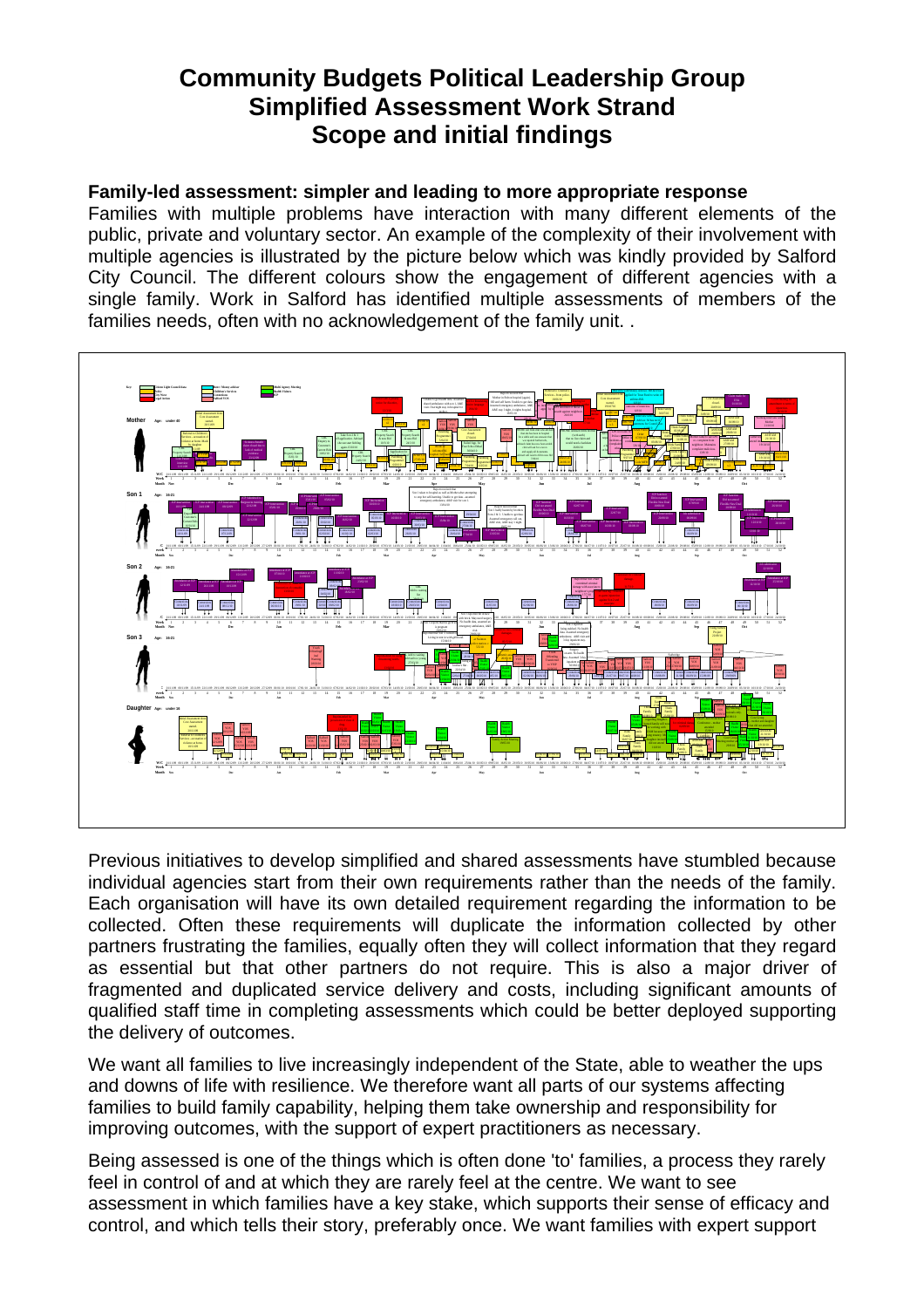# **Community Budgets Political Leadership Group Simplified Assessment Work Strand Scope and initial findings**

#### **Family-led assessment: simpler and leading to more appropriate response**

Families with multiple problems have interaction with many different elements of the public, private and voluntary sector. An example of the complexity of their involvement with multiple agencies is illustrated by the picture below which was kindly provided by Salford City Council. The different colours show the engagement of different agencies with a single family. Work in Salford has identified multiple assessments of members of the families needs, often with no acknowledgement of the family unit. .



Previous initiatives to develop simplified and shared assessments have stumbled because individual agencies start from their own requirements rather than the needs of the family. Each organisation will have its own detailed requirement regarding the information to be collected. Often these requirements will duplicate the information collected by other partners frustrating the families, equally often they will collect information that they regard as essential but that other partners do not require. This is also a major driver of fragmented and duplicated service delivery and costs, including significant amounts of qualified staff time in completing assessments which could be better deployed supporting the delivery of outcomes.

We want all families to live increasingly independent of the State, able to weather the ups and downs of life with resilience. We therefore want all parts of our systems affecting families to build family capability, helping them take ownership and responsibility for improving outcomes, with the support of expert practitioners as necessary.

Being assessed is one of the things which is often done 'to' families, a process they rarely feel in control of and at which they are rarely feel at the centre. We want to see assessment in which families have a key stake, which supports their sense of efficacy and control, and which tells their story, preferably once. We want families with expert support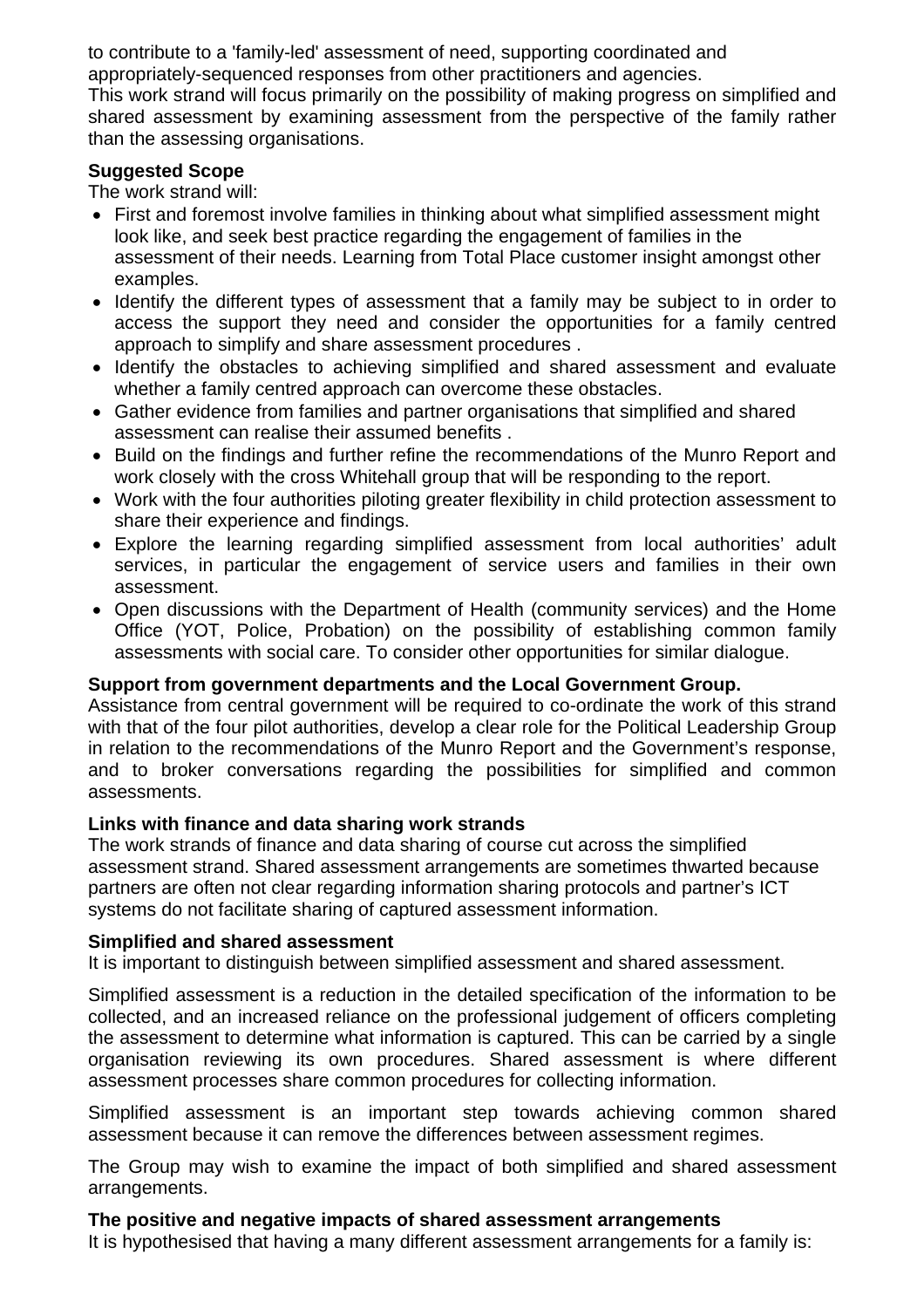to contribute to a 'family-led' assessment of need, supporting coordinated and appropriately-sequenced responses from other practitioners and agencies.

This work strand will focus primarily on the possibility of making progress on simplified and shared assessment by examining assessment from the perspective of the family rather than the assessing organisations.

#### **Suggested Scope**

The work strand will:

- First and foremost involve families in thinking about what simplified assessment might look like, and seek best practice regarding the engagement of families in the assessment of their needs. Learning from Total Place customer insight amongst other examples.
- Identify the different types of assessment that a family may be subject to in order to access the support they need and consider the opportunities for a family centred approach to simplify and share assessment procedures .
- Identify the obstacles to achieving simplified and shared assessment and evaluate whether a family centred approach can overcome these obstacles.
- Gather evidence from families and partner organisations that simplified and shared assessment can realise their assumed benefits .
- Build on the findings and further refine the recommendations of the Munro Report and work closely with the cross Whitehall group that will be responding to the report.
- Work with the four authorities piloting greater flexibility in child protection assessment to share their experience and findings.
- Explore the learning regarding simplified assessment from local authorities' adult services, in particular the engagement of service users and families in their own assessment.
- Open discussions with the Department of Health (community services) and the Home Office (YOT, Police, Probation) on the possibility of establishing common family assessments with social care. To consider other opportunities for similar dialogue.

#### **Support from government departments and the Local Government Group.**

Assistance from central government will be required to co-ordinate the work of this strand with that of the four pilot authorities, develop a clear role for the Political Leadership Group in relation to the recommendations of the Munro Report and the Government's response, and to broker conversations regarding the possibilities for simplified and common assessments.

#### **Links with finance and data sharing work strands**

The work strands of finance and data sharing of course cut across the simplified assessment strand. Shared assessment arrangements are sometimes thwarted because partners are often not clear regarding information sharing protocols and partner's ICT systems do not facilitate sharing of captured assessment information.

#### **Simplified and shared assessment**

It is important to distinguish between simplified assessment and shared assessment.

Simplified assessment is a reduction in the detailed specification of the information to be collected, and an increased reliance on the professional judgement of officers completing the assessment to determine what information is captured. This can be carried by a single organisation reviewing its own procedures. Shared assessment is where different assessment processes share common procedures for collecting information.

Simplified assessment is an important step towards achieving common shared assessment because it can remove the differences between assessment regimes.

The Group may wish to examine the impact of both simplified and shared assessment arrangements.

#### **The positive and negative impacts of shared assessment arrangements**

It is hypothesised that having a many different assessment arrangements for a family is: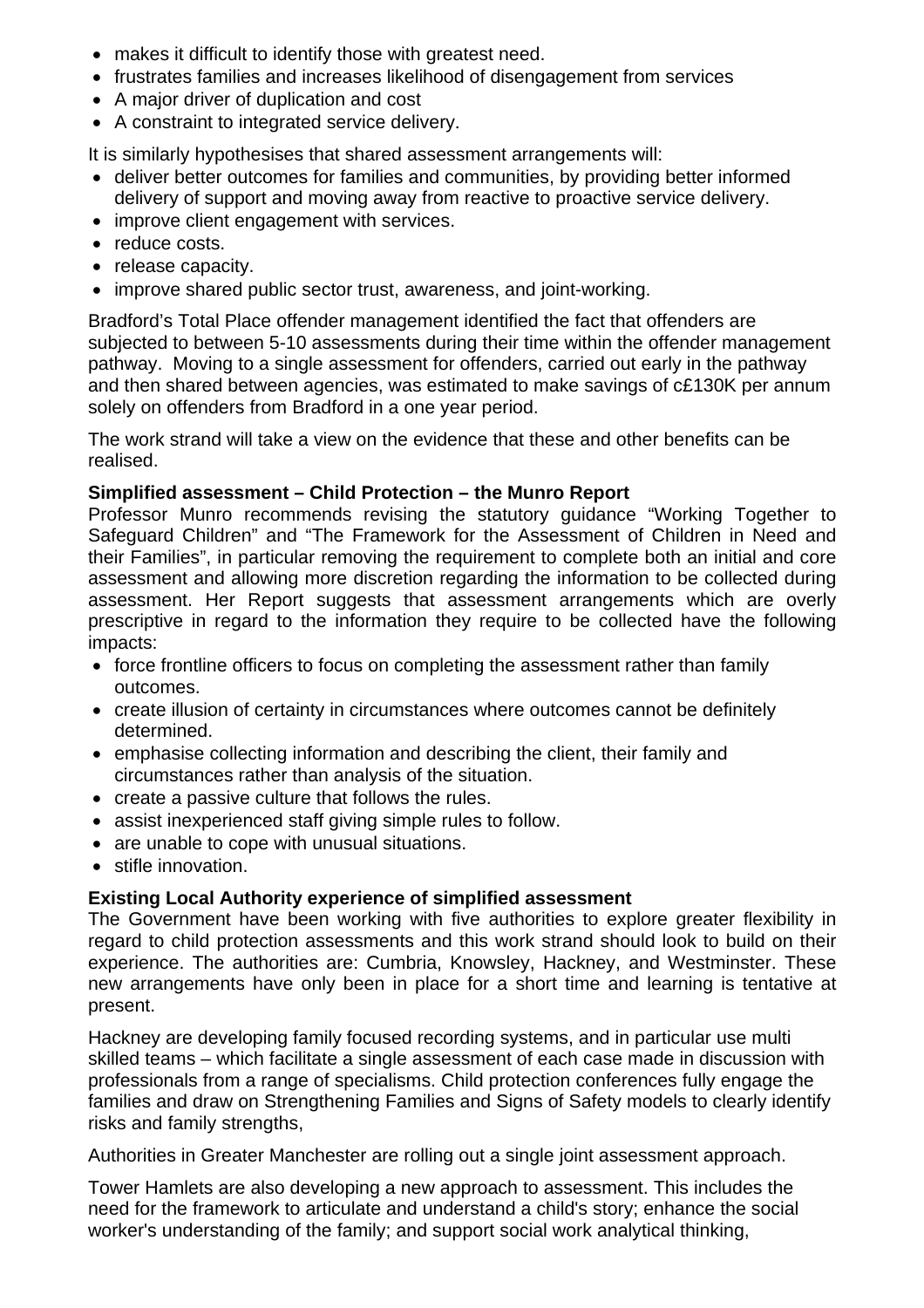- makes it difficult to identify those with greatest need.
- frustrates families and increases likelihood of disengagement from services
- A major driver of duplication and cost
- A constraint to integrated service delivery.

It is similarly hypothesises that shared assessment arrangements will:

- deliver better outcomes for families and communities, by providing better informed delivery of support and moving away from reactive to proactive service delivery.
- improve client engagement with services.
- reduce costs.
- release capacity.
- improve shared public sector trust, awareness, and joint-working.

Bradford's Total Place offender management identified the fact that offenders are subjected to between 5-10 assessments during their time within the offender management pathway. Moving to a single assessment for offenders, carried out early in the pathway and then shared between agencies, was estimated to make savings of c£130K per annum solely on offenders from Bradford in a one year period.

The work strand will take a view on the evidence that these and other benefits can be realised.

#### **Simplified assessment – Child Protection – the Munro Report**

Professor Munro recommends revising the statutory guidance "Working Together to Safeguard Children" and "The Framework for the Assessment of Children in Need and their Families", in particular removing the requirement to complete both an initial and core assessment and allowing more discretion regarding the information to be collected during assessment. Her Report suggests that assessment arrangements which are overly prescriptive in regard to the information they require to be collected have the following impacts:

- force frontline officers to focus on completing the assessment rather than family outcomes.
- create illusion of certainty in circumstances where outcomes cannot be definitely determined.
- emphasise collecting information and describing the client, their family and circumstances rather than analysis of the situation.
- create a passive culture that follows the rules.
- assist inexperienced staff giving simple rules to follow.
- are unable to cope with unusual situations.
- stifle innovation.

## **Existing Local Authority experience of simplified assessment**

The Government have been working with five authorities to explore greater flexibility in regard to child protection assessments and this work strand should look to build on their experience. The authorities are: Cumbria, Knowsley, Hackney, and Westminster. These new arrangements have only been in place for a short time and learning is tentative at present.

Hackney are developing family focused recording systems, and in particular use multi skilled teams – which facilitate a single assessment of each case made in discussion with professionals from a range of specialisms. Child protection conferences fully engage the families and draw on Strengthening Families and Signs of Safety models to clearly identify risks and family strengths,

Authorities in Greater Manchester are rolling out a single joint assessment approach.

Tower Hamlets are also developing a new approach to assessment. This includes the need for the framework to articulate and understand a child's story; enhance the social worker's understanding of the family; and support social work analytical thinking,